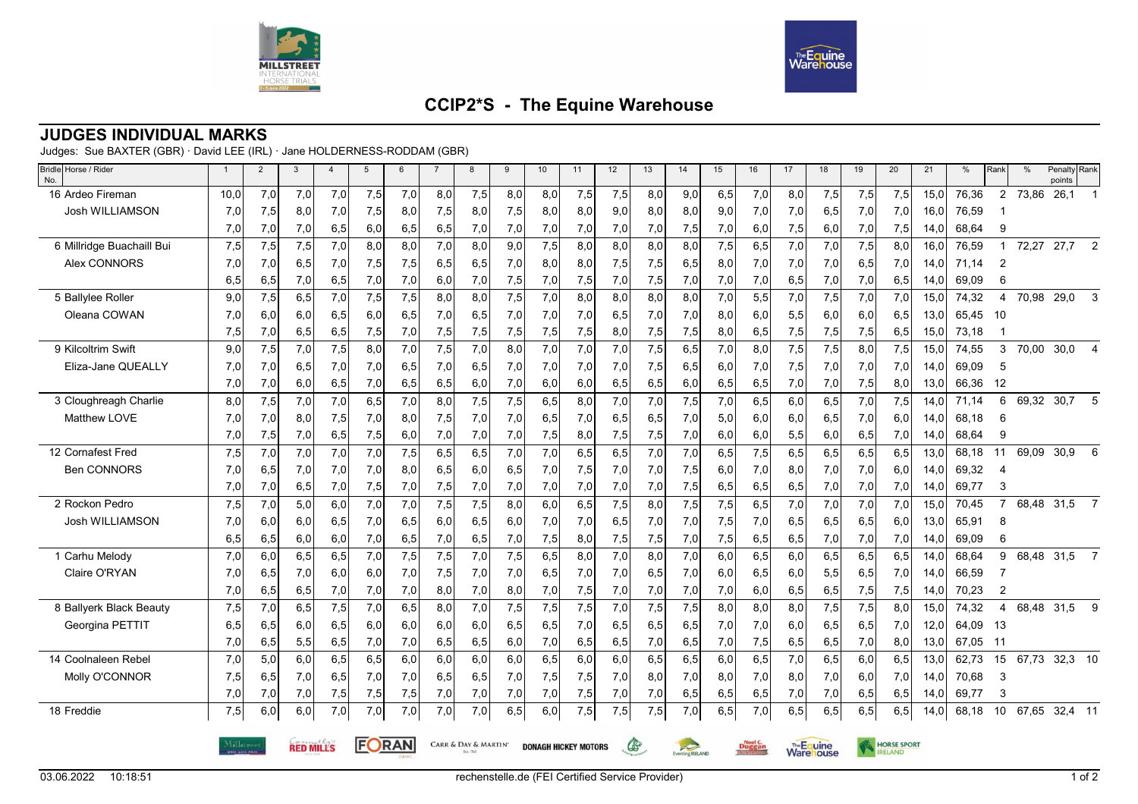



## **CCIP2\*S - The Equine Warehouse**

## **JUDGES INDIVIDUAL MARKS**

Judges: Sue BAXTER (GBR) · David LEE (IRL) · Jane HOLDERNESS-RODDAM (GBR)

| Bridle Horse / Rider<br>No. | $\overline{1}$ | 2          | 3                | $\overline{4}$ | 5     | 6   | $\overline{7}$ | 8                                                          | 9   | 10  | 11   | 12  | 13   | 14                                                                               | 15  | 16  | 17  | 18  | 19  | 20                 | 21   | %     | Rank           | $\frac{0}{0}$ | Penalty Rank<br>points |  |  |
|-----------------------------|----------------|------------|------------------|----------------|-------|-----|----------------|------------------------------------------------------------|-----|-----|------|-----|------|----------------------------------------------------------------------------------|-----|-----|-----|-----|-----|--------------------|------|-------|----------------|---------------|------------------------|--|--|
| 16 Ardeo Fireman            | 10,0           | 7,0        | 7,0              | 7,0            | 7,5   | 7,0 | 8,0            | 7,5                                                        | 8,0 | 8,0 | 7,5  | 7,5 | 8,0  | 9,0                                                                              | 6,5 | 7,0 | 8,0 | 7,5 | 7,5 | 7,5                | 15,0 | 76,36 | $\overline{2}$ | 73,86         | 26,1                   |  |  |
| Josh WILLIAMSON             | 7,0            | 7,5        | 8,0              | 7,0            | 7,5   | 8,0 | 7,5            | 8,0                                                        | 7,5 | 8,0 | 8,0  | 9,0 | 8,0  | 8,0                                                                              | 9,0 | 7,0 | 7,0 | 6,5 | 7,0 | 7,0                | 16,0 | 76,59 |                |               |                        |  |  |
|                             | 7,0            | 7,0        | 7,0              | 6,5            | 6,0   | 6,5 | 6,5            | 7,0                                                        | 7,0 | 7,0 | 7,0  | 7,0 | 7,0  | 7,5                                                                              | 7,0 | 6,0 | 7,5 | 6,0 | 7,0 | 7,5                | 14,0 | 68,64 | 9              |               |                        |  |  |
| 6 Millridge Buachaill Bui   | 7,5            | 7,5        | 7,5              | 7,0            | 8,0   | 8.0 | 7,0            | 8.0                                                        | 9,0 | 7,5 | 8.0  | 8,0 | 8,0  | 8.0                                                                              | 7,5 | 6,5 | 7,0 | 7,0 | 7,5 | 8,0                | 16.0 | 76,59 | 1              | 72,27         | 27,7<br>$\overline{2}$ |  |  |
| Alex CONNORS                | 7,0            | 7,0        | 6,5              | 7,0            | 7,5   | 7,5 | 6,5            | 6,5                                                        | 7,0 | 8,0 | 8,0  | 7,5 | 7,5  | 6,5                                                                              | 8,0 | 7,0 | 7,0 | 7,0 | 6,5 | 7,0                | 14,0 | 71,14 | $\overline{2}$ |               |                        |  |  |
|                             | 6,5            | 6,5        | 7,0              | 6,5            | 7,0   | 7,0 | 6,0            | 7,0                                                        | 7,5 | 7,0 | 7,5  | 7,0 | 7,5  | 7,0                                                                              | 7,0 | 7,0 | 6,5 | 7,0 | 7,0 | 6,5                | 14,0 | 69,09 | 6              |               |                        |  |  |
| 5 Ballylee Roller           | 9,0            | 7,5        | 6,5              | 7,0            | 7,5   | 7,5 | 8.0            | 8.0                                                        | 7,5 | 7,0 | 8,0  | 8,0 | 8,0  | 8,0                                                                              | 7,0 | 5,5 | 7,0 | 7,5 | 7,0 | 7,0                | 15,0 | 74,32 | 4              | 70,98         | 29,0<br>3              |  |  |
| Oleana COWAN                | 7,0            | 6,0        | 6,0              | 6,5            | 6,0   | 6,5 | 7,0            | 6,5                                                        | 7,0 | 7,0 | 7,0  | 6,5 | 7,0  | 7,0                                                                              | 8,0 | 6,0 | 5,5 | 6,0 | 6,0 | 6,5                | 13,0 | 65,45 | -10            |               |                        |  |  |
|                             | 7,5            | 7,0        | 6,5              | 6,5            | 7,5   | 7,0 | 7,5            | 7,5                                                        | 7,5 | 7,5 | 7,5  | 8,0 | 7,5  | 7,5                                                                              | 8,0 | 6,5 | 7,5 | 7,5 | 7,5 | 6,5                | 15,0 | 73,18 |                |               |                        |  |  |
| 9 Kilcoltrim Swift          | 9,0            | 7,5        | 7,0              | 7,5            | 8,0   | 7,0 | 7,5            | 7,0                                                        | 8,0 | 7,0 | 7,0  | 7,0 | 7,5  | 6,5                                                                              | 7,0 | 8,0 | 7,5 | 7,5 | 8,0 | 7,5                | 15.0 | 74,55 | 3              | 70,00         | 30,0<br>$\overline{4}$ |  |  |
| Eliza-Jane QUEALLY          | 7,0            | 7,0        | 6,5              | 7,0            | 7,0   | 6,5 | 7,0            | 6,5                                                        | 7,0 | 7,0 | 7,0  | 7,0 | 7,5  | 6,5                                                                              | 6,0 | 7,0 | 7,5 | 7,0 | 7,0 | 7,0                | 14.0 | 69,09 | 5              |               |                        |  |  |
|                             | 7,0            | 7,0        | 6,0              | 6,5            | 7,0   | 6,5 | 6,5            | 6,0                                                        | 7,0 | 6,0 | 6,0  | 6,5 | 6,5  | 6,0                                                                              | 6,5 | 6,5 | 7,0 | 7,0 | 7,5 | 8,0                | 13,0 | 66,36 | 12             |               |                        |  |  |
| 3 Cloughreagh Charlie       | 8,0            | 7,5        | 7,0              | 7,0            | 6,5   | 7,0 | 8.0            | 7,5                                                        | 7,5 | 6,5 | 8,0  | 7,0 | 7,0  | 7,5                                                                              | 7,0 | 6,5 | 6,0 | 6,5 | 7,0 | 7,5                | 14.0 | 71,14 | 6              | 69,32         | 5<br>30,7              |  |  |
| Matthew LOVE                | 7,0            | 7,0        | 8,0              | 7,5            | 7,0   | 8,0 | 7,5            | 7,0                                                        | 7,0 | 6,5 | 7,0  | 6,5 | 6,5  | 7.0                                                                              | 5,0 | 6,0 | 6,0 | 6,5 | 7,0 | 6,0                | 14,0 | 68.18 | 6              |               |                        |  |  |
|                             | 7,0            | 7,5        | 7,0              | 6,5            | 7,5   | 6,0 | 7,0            | 7,0                                                        | 7,0 | 7,5 | 8,0  | 7,5 | 7,5  | 7,0                                                                              | 6,0 | 6,0 | 5,5 | 6,0 | 6,5 | 7,0                | 14,0 | 68,64 | 9              |               |                        |  |  |
| 12 Cornafest Fred           | 7,5            | 7,0        | 7,0              | 7,0            | 7,0   | 7,5 | 6,5            | 6, 5                                                       | 7,0 | 7,0 | 6, 5 | 6,5 | 7,0  | 7,0                                                                              | 6,5 | 7,5 | 6,5 | 6,5 | 6,5 | 6,5                | 13,0 | 68,18 | 11             | 69,09         | 30,9<br>6              |  |  |
| Ben CONNORS                 | 7,0            | 6,5        | 7,0              | 7,0            | 7,0   | 8,0 | 6.5            | 6,0                                                        | 6,5 | 7,0 | 7,5  | 7,0 | 7,0  | 7,5                                                                              | 6,0 | 7,0 | 8,0 | 7,0 | 7,0 | 6,0                | 14.0 | 69,32 | 4              |               |                        |  |  |
|                             | 7,0            | 7,0        | 6,5              | 7,0            | 7,5   | 7,0 | 7,5            | 7,0                                                        | 7,0 | 7,0 | 7,0  | 7,0 | 7,0  | 7,5                                                                              | 6,5 | 6,5 | 6,5 | 7,0 | 7,0 | 7,0                | 14,0 | 69,77 | 3              |               |                        |  |  |
| 2 Rockon Pedro              | 7,5            | 7,0        | 5,0              | 6,0            | 7,0   | 7,0 | 7,5            | 7,5                                                        | 8,0 | 6,0 | 6.5  | 7,5 | 8,0  | 7,5                                                                              | 7,5 | 6,5 | 7,0 | 7,0 | 7,0 | 7,0                | 15.0 | 70.45 | $\overline{7}$ | 68,48         | 31,5<br>$\overline{7}$ |  |  |
| Josh WILLIAMSON             | 7,0            | 6,0        | 6,0              | 6,5            | 7,0   | 6,5 | 6,0            | 6,5                                                        | 6,0 | 7,0 | 7,0  | 6,5 | 7,0  | 7,0                                                                              | 7,5 | 7,0 | 6,5 | 6,5 | 6,5 | 6,0                | 13,0 | 65,91 | 8              |               |                        |  |  |
|                             | 6,5            | 6,5        | 6,0              | 6,0            | 7,0   | 6,5 | 7,0            | 6,5                                                        | 7,0 | 7,5 | 8,0  | 7,5 | 7,5  | 7,0                                                                              | 7,5 | 6,5 | 6,5 | 7,0 | 7,0 | 7,0                | 14,0 | 69,09 | 6              |               |                        |  |  |
| 1 Carhu Melody              | 7,0            | 6,0        | 6,5              | 6,5            | 7,0   | 7,5 | 7,5            | 7,0                                                        | 7,5 | 6,5 | 8,0  | 7,0 | 8,0  | 7,0                                                                              | 6,0 | 6,5 | 6,0 | 6,5 | 6,5 | 6,5                | 14.0 | 68,64 | 9              |               | 68,48 31,5 7           |  |  |
| Claire O'RYAN               | 7,0            | 6,5        | 7,0              | 6,0            | 6,0   | 7,0 | 7,5            | 7,0                                                        | 7,0 | 6,5 | 7,0  | 7,0 | 6,5  | 7,0                                                                              | 6,0 | 6,5 | 6,0 | 5,5 | 6,5 | 7,0                | 14,0 | 66,59 |                |               |                        |  |  |
|                             | 7,0            | 6,5        | 6,5              | 7,0            | 7,0   | 7,0 | 8,0            | 7,0                                                        | 8,0 | 7,0 | 7,5  | 7,0 | 7,0  | 7,0                                                                              | 7,0 | 6,0 | 6,5 | 6,5 | 7,5 | 7,5                | 14,0 | 70,23 | $\overline{2}$ |               |                        |  |  |
| 8 Ballyerk Black Beauty     | 7,5            | 7,0        | 6,5              | 7,5            | 7,0   | 6,5 | 8,0            | 7,0                                                        | 7,5 | 7,5 | 7,5  | 7,0 | 7,5  | 7,5                                                                              | 8,0 | 8,0 | 8,0 | 7,5 | 7,5 | 8,0                | 15,0 | 74,32 | 4              | 68,48         | 31,5<br>9              |  |  |
| Georgina PETTIT             | 6,5            | 6,5        | 6,0              | 6,5            | 6,0   | 6,0 | 6,0            | 6,0                                                        | 6,5 | 6,5 | 7,0  | 6,5 | 6,5  | 6,5                                                                              | 7,0 | 7,0 | 6,0 | 6,5 | 6,5 | 7,0                | 12,0 | 64,09 | - 13           |               |                        |  |  |
|                             | 7,0            | 6,5        | 5,5              | 6,5            | 7,0   | 7,0 | 6,5            | 6,5                                                        | 6,0 | 7,0 | 6,5  | 6,5 | 7,0  | 6,5                                                                              | 7,0 | 7,5 | 6,5 | 6,5 | 7,0 | 8,0                | 13,0 | 67,05 | $-11$          |               |                        |  |  |
| 14 Coolnaleen Rebel         | 7,0            | 5,0        | 6,0              | 6,5            | 6,5   | 6,0 | 6,0            | 6,0                                                        | 6,0 | 6,5 | 6,0  | 6,0 | 6, 5 | 6,5                                                                              | 6,0 | 6,5 | 7,0 | 6,5 | 6,0 | 6,5                | 13,0 | 62,73 | 15             | 67,73         | 32,3 10                |  |  |
| Molly O'CONNOR              | 7,5            | 6,5        | 7,0              | 6,5            | 7,0   | 7,0 | 6,5            | 6,5                                                        | 7,0 | 7,5 | 7,5  | 7,0 | 8,0  | 7,0                                                                              | 8,0 | 7,0 | 8,0 | 7,0 | 6,0 | 7,0                | 14.0 | 70,68 | 3              |               |                        |  |  |
|                             | 7,0            | 7,0        | 7,0              | 7,5            | 7,5   | 7,5 | 7,0            | 7,0                                                        | 7,0 | 7,0 | 7,5  | 7,0 | 7,0  | 6,5                                                                              | 6,5 | 6,5 | 7,0 | 7,0 | 6,5 | 6,5                | 14,0 | 69,77 | 3              |               |                        |  |  |
| 18 Freddie                  | 7,5            | 6,0        | 6,0              | 7,0            | 7,0   | 7,0 | 7,0            | 7,0                                                        | 6,5 | 6,0 | 7,5  | 7,5 | 7,5  | 7,0                                                                              | 6,5 | 7,0 | 6,5 | 6,5 | 6,5 | 6,5                | 14,0 | 68,18 | 10             |               | 67,65 32,4 11          |  |  |
|                             |                | Milløtreet | <b>RED MILLS</b> |                | FORAN |     |                | CARR & DAY & MARTIN'<br>CS-<br><b>DONAGH HICKEY MOTORS</b> |     |     |      |     |      | The Equine<br>$\approx$<br><b>Duggan</b><br>Ware ouse<br>Eventing <b>IRELAND</b> |     |     |     |     |     | <b>HORSE SPORT</b> |      |       |                |               |                        |  |  |